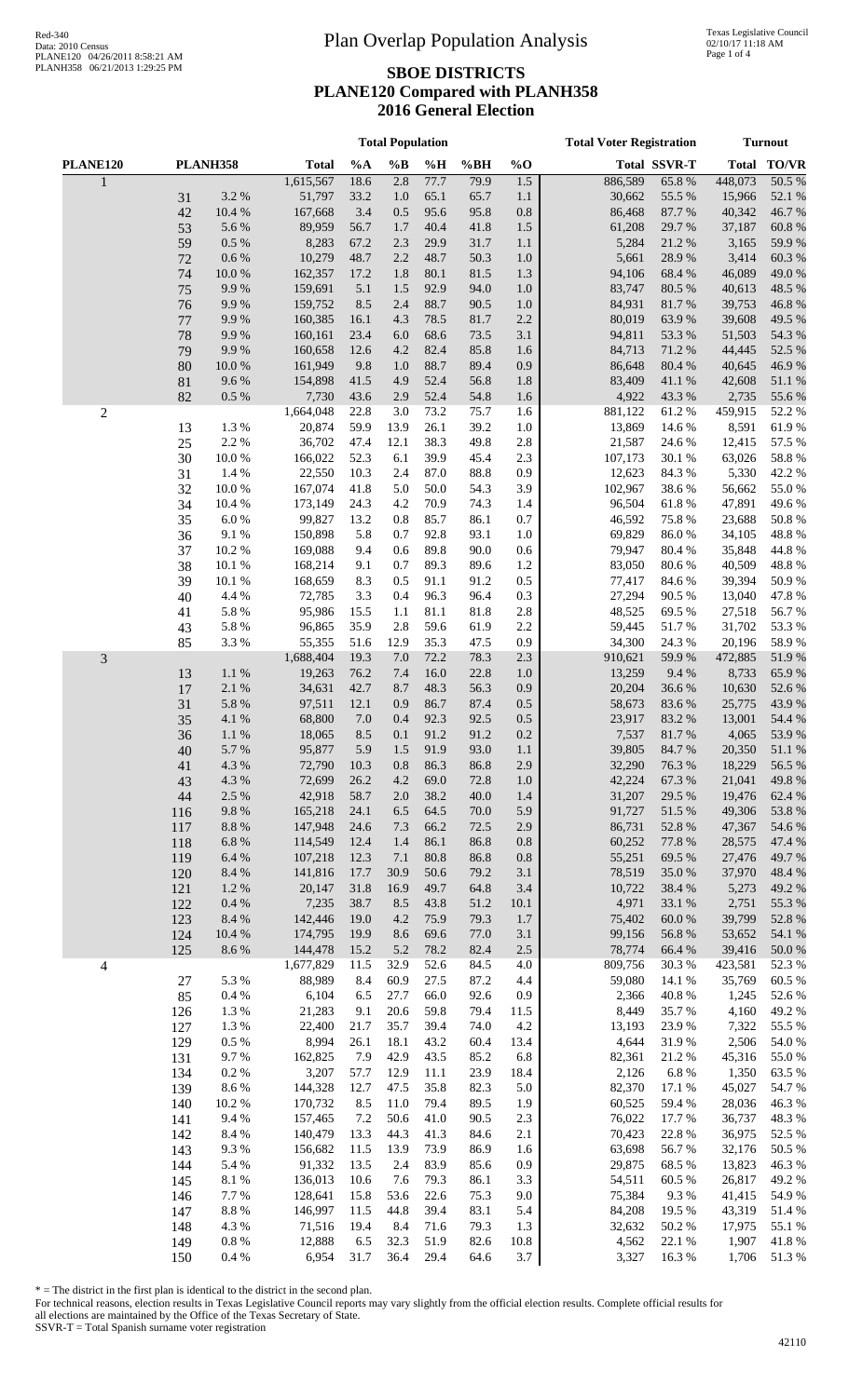#### **SBOE DISTRICTS PLANE120 Compared with PLANH358 2016 General Election**

|                |            |                       |                    |              | <b>Total Population</b> |              |              | <b>Total Voter Registration</b> | <b>Turnout</b>   |                     |                  |                 |
|----------------|------------|-----------------------|--------------------|--------------|-------------------------|--------------|--------------|---------------------------------|------------------|---------------------|------------------|-----------------|
| PLANE120       |            | <b>PLANH358</b>       | <b>Total</b>       | %A           | $\%B$                   | %H           | %BH          | $%$ O                           |                  | <b>Total SSVR-T</b> |                  | Total TO/VR     |
|                |            |                       | 1,615,567          | 18.6         | 2.8                     | 77.7         | 79.9         | 1.5                             | 886,589          | 65.8%               | 448,073          | 50.5%           |
|                | 31<br>42   | 3.2 %<br>10.4 %       | 51,797<br>167,668  | 33.2<br>3.4  | 1.0<br>0.5              | 65.1<br>95.6 | 65.7<br>95.8 | 1.1<br>$0.8\,$                  | 30,662<br>86,468 | 55.5 %<br>87.7%     | 15,966<br>40,342 | 52.1 %<br>46.7% |
|                | 53         | 5.6 %                 | 89,959             | 56.7         | 1.7                     | 40.4         | 41.8         | 1.5                             | 61,208           | 29.7 %              | 37,187           | 60.8%           |
|                | 59         | 0.5 %                 | 8,283              | 67.2         | 2.3                     | 29.9         | 31.7         | 1.1                             | 5,284            | 21.2%               | 3,165            | 59.9%           |
|                | 72         | 0.6 %                 | 10,279             | 48.7         | 2.2                     | 48.7         | 50.3         | 1.0                             | 5,661            | 28.9%               | 3,414            | 60.3%           |
|                | 74         | 10.0%                 | 162,357            | 17.2         | 1.8                     | 80.1         | 81.5         | 1.3                             | 94,106           | 68.4%               | 46,089           | 49.0%           |
|                | 75         | 9.9%                  | 159,691            | 5.1          | 1.5                     | 92.9         | 94.0         | 1.0                             | 83,747           | 80.5 %              | 40,613           | 48.5 %          |
|                | 76<br>77   | 9.9%<br>9.9%          | 159,752<br>160,385 | 8.5<br>16.1  | 2.4<br>4.3              | 88.7<br>78.5 | 90.5<br>81.7 | 1.0<br>2.2                      | 84,931<br>80,019 | 81.7%<br>63.9%      | 39,753<br>39,608 | 46.8%<br>49.5 % |
|                | 78         | 9.9%                  | 160,161            | 23.4         | 6.0                     | 68.6         | 73.5         | 3.1                             | 94,811           | 53.3 %              | 51,503           | 54.3 %          |
|                | 79         | 9.9%                  | 160,658            | 12.6         | 4.2                     | 82.4         | 85.8         | 1.6                             | 84,713           | 71.2%               | 44,445           | 52.5 %          |
|                | 80         | $10.0~\%$             | 161,949            | 9.8          | 1.0                     | 88.7         | 89.4         | 0.9                             | 86,648           | 80.4%               | 40,645           | 46.9%           |
|                | 81         | 9.6%                  | 154,898            | 41.5         | 4.9                     | 52.4         | 56.8         | 1.8                             | 83,409           | 41.1%               | 42,608           | 51.1%           |
| $\mathbf{2}$   | 82         | 0.5 %                 | 7,730<br>1,664,048 | 43.6<br>22.8 | 2.9<br>3.0              | 52.4<br>73.2 | 54.8<br>75.7 | 1.6<br>1.6                      | 4,922<br>881,122 | 43.3%<br>61.2%      | 2,735<br>459,915 | 55.6%<br>52.2 % |
|                | 13         | 1.3%                  | 20,874             | 59.9         | 13.9                    | 26.1         | 39.2         | 1.0                             | 13,869           | 14.6 %              | 8,591            | 61.9%           |
|                | 25         | 2.2 %                 | 36,702             | 47.4         | 12.1                    | 38.3         | 49.8         | 2.8                             | 21,587           | 24.6 %              | 12,415           | 57.5 %          |
|                | 30         | $10.0~\%$             | 166,022            | 52.3         | 6.1                     | 39.9         | 45.4         | 2.3                             | 107,173          | 30.1 %              | 63,026           | 58.8%           |
|                | 31         | 1.4 %                 | 22,550             | 10.3         | 2.4                     | 87.0         | 88.8         | 0.9                             | 12,623           | 84.3%               | 5,330            | 42.2 %          |
|                | 32         | 10.0%                 | 167,074            | 41.8         | 5.0                     | 50.0         | 54.3         | 3.9                             | 102,967          | 38.6%               | 56,662           | 55.0%           |
|                | 34<br>35   | 10.4 %<br>6.0%        | 173,149<br>99,827  | 24.3<br>13.2 | 4.2<br>0.8              | 70.9<br>85.7 | 74.3<br>86.1 | 1.4<br>0.7                      | 96,504<br>46,592 | 61.8%<br>75.8%      | 47,891<br>23,688 | 49.6%<br>50.8%  |
|                | 36         | 9.1 %                 | 150,898            | 5.8          | 0.7                     | 92.8         | 93.1         | 1.0                             | 69,829           | 86.0%               | 34,105           | 48.8%           |
|                | 37         | 10.2%                 | 169,088            | 9.4          | 0.6                     | 89.8         | 90.0         | 0.6                             | 79,947           | 80.4%               | 35,848           | 44.8%           |
|                | 38         | 10.1 %                | 168,214            | 9.1          | 0.7                     | 89.3         | 89.6         | $1.2\,$                         | 83,050           | 80.6%               | 40,509           | 48.8%           |
|                | 39         | 10.1%                 | 168,659            | 8.3          | 0.5                     | 91.1         | 91.2         | 0.5                             | 77,417           | 84.6%               | 39,394           | 50.9%           |
|                | 40         | 4.4 %                 | 72,785             | 3.3          | 0.4                     | 96.3         | 96.4         | 0.3                             | 27,294           | 90.5 %              | 13,040           | 47.8%           |
|                | 41<br>43   | 5.8 %<br>5.8 %        | 95,986<br>96,865   | 15.5<br>35.9 | 1.1<br>2.8              | 81.1<br>59.6 | 81.8<br>61.9 | 2.8<br>2.2                      | 48,525<br>59,445 | 69.5 %<br>51.7%     | 27,518<br>31,702 | 56.7%<br>53.3 % |
|                | 85         | 3.3 %                 | 55,355             | 51.6         | 12.9                    | 35.3         | 47.5         | 0.9                             | 34,300           | 24.3 %              | 20,196           | 58.9%           |
| 3              |            |                       | 1,688,404          | 19.3         | 7.0                     | 72.2         | 78.3         | 2.3                             | 910,621          | 59.9%               | 472,885          | 51.9%           |
|                | 13         | $1.1~\%$              | 19,263             | 76.2         | 7.4                     | 16.0         | 22.8         | 1.0                             | 13,259           | 9.4%                | 8,733            | 65.9%           |
|                | 17         | 2.1%                  | 34,631             | 42.7         | 8.7                     | 48.3         | 56.3         | 0.9                             | 20,204           | 36.6%               | 10,630           | 52.6%           |
|                | 31         | 5.8 %                 | 97,511             | 12.1         | 0.9                     | 86.7         | 87.4         | 0.5                             | 58,673           | 83.6%               | 25,775           | 43.9%           |
|                | 35         | 4.1 %<br>$1.1~\%$     | 68,800<br>18,065   | 7.0<br>8.5   | 0.4<br>0.1              | 92.3<br>91.2 | 92.5<br>91.2 | 0.5<br>0.2                      | 23,917<br>7,537  | 83.2%<br>81.7%      | 13,001<br>4,065  | 54.4 %<br>53.9% |
|                | 36<br>40   | 5.7 %                 | 95,877             | 5.9          | 1.5                     | 91.9         | 93.0         | 1.1                             | 39,805           | 84.7 %              | 20,350           | 51.1 %          |
|                | 41         | 4.3 %                 | 72,790             | 10.3         | 0.8                     | 86.3         | 86.8         | 2.9                             | 32,290           | 76.3 %              | 18,229           | 56.5 %          |
|                | 43         | 4.3 %                 | 72,699             | 26.2         | 4.2                     | 69.0         | 72.8         | 1.0                             | 42,224           | 67.3 %              | 21,041           | 49.8%           |
|                | 44         | 2.5 %                 | 42,918             | 58.7         | 2.0                     | 38.2         | 40.0         | 1.4                             | 31,207           | 29.5 %              | 19,476           | 62.4 %          |
|                | 116        | $9.8\ \%$             | 165,218            | 24.1         | 6.5                     | 64.5         | 70.0         | 5.9                             | 91,727           | 51.5 %              | 49,306           | 53.8%           |
|                | 117<br>118 | $8.8\ \%$<br>$6.8~\%$ | 147,948<br>114,549 | 24.6<br>12.4 | 7.3<br>1.4              | 66.2<br>86.1 | 72.5<br>86.8 | 2.9<br>0.8                      | 86,731<br>60,252 | 52.8 %<br>77.8 %    | 47,367<br>28,575 | 54.6%<br>47.4 % |
|                | 119        | $6.4~\%$              | 107,218            | 12.3         | 7.1                     | 80.8         | 86.8         | 0.8                             | 55,251           | 69.5 %              | 27,476           | 49.7%           |
|                | 120        | 8.4 %                 | 141,816            | 17.7         | 30.9                    | 50.6         | 79.2         | 3.1                             | 78,519           | 35.0%               | 37,970           | 48.4%           |
|                | 121        | 1.2 %                 | 20,147             | 31.8         | 16.9                    | 49.7         | 64.8         | 3.4                             | 10,722           | 38.4 %              | 5,273            | 49.2 %          |
|                | 122        | $0.4~\%$              | 7,235              | 38.7         | 8.5                     | 43.8         | 51.2         | 10.1                            | 4,971            | 33.1 %              | 2,751            | 55.3%           |
|                | 123        | 8.4 %                 | 142,446            | 19.0         | 4.2                     | 75.9         | 79.3         | $1.7$                           | 75,402           | $60.0\ \%$          | 39,799           | 52.8%           |
|                | 124<br>125 | 10.4 %<br>8.6 %       | 174,795<br>144,478 | 19.9<br>15.2 | 8.6<br>5.2              | 69.6<br>78.2 | 77.0<br>82.4 | 3.1<br>$2.5\,$                  | 99,156<br>78,774 | 56.8 %<br>66.4 %    | 53,652<br>39,416 | 54.1 %<br>50.0% |
| $\overline{4}$ |            |                       | 1,677,829          | 11.5         | 32.9                    | 52.6         | 84.5         | 4.0                             | 809,756          | 30.3 %              | 423,581          | 52.3 %          |
|                | 27         | 5.3 %                 | 88,989             | 8.4          | 60.9                    | 27.5         | 87.2         | 4.4                             | 59,080           | 14.1 %              | 35,769           | 60.5%           |
|                | 85         | $0.4~\%$              | 6,104              | 6.5          | 27.7                    | 66.0         | 92.6         | 0.9                             | 2,366            | 40.8%               | 1,245            | 52.6%           |
|                | 126        | 1.3%                  | 21,283             | 9.1          | 20.6                    | 59.8         | 79.4         | 11.5                            | 8,449            | 35.7%               | 4,160            | 49.2 %          |
|                | 127        | 1.3%                  | 22,400             | 21.7         | 35.7                    | 39.4         | 74.0         | $4.2\,$                         | 13,193           | 23.9%               | 7,322            | 55.5 %          |
|                | 129<br>131 | $0.5~\%$<br>9.7%      | 8,994<br>162,825   | 26.1<br>7.9  | 18.1<br>42.9            | 43.2<br>43.5 | 60.4<br>85.2 | 13.4<br>6.8                     | 4,644<br>82,361  | 31.9%<br>21.2%      | 2,506<br>45,316  | 54.0 %<br>55.0% |
|                | 134        | $0.2~\%$              | 3,207              | 57.7         | 12.9                    | 11.1         | 23.9         | 18.4                            | 2,126            | $6.8~\%$            | 1,350            | 63.5 %          |
|                | 139        | 8.6 %                 | 144,328            | 12.7         | 47.5                    | 35.8         | 82.3         | 5.0                             | 82,370           | 17.1 %              | 45,027           | 54.7%           |
|                | 140        | 10.2%                 | 170,732            | 8.5          | 11.0                    | 79.4         | 89.5         | 1.9                             | 60,525           | 59.4%               | 28,036           | 46.3%           |
|                | 141        | 9.4 %                 | 157,465            | 7.2          | 50.6                    | 41.0         | 90.5         | 2.3                             | 76,022           | 17.7 %              | 36,737           | 48.3%           |
|                | 142        | 8.4 %                 | 140,479            | 13.3         | 44.3                    | 41.3         | 84.6         | 2.1                             | 70,423           | 22.8 %              | 36,975           | 52.5 %          |
|                | 143        | 9.3%<br>5.4 %         | 156,682<br>91,332  | 11.5<br>13.5 | 13.9<br>2.4             | 73.9<br>83.9 | 86.9<br>85.6 | 1.6<br>0.9                      | 63,698<br>29,875 | 56.7%<br>68.5%      | 32,176<br>13,823 | 50.5 %<br>46.3% |
|                | 144<br>145 | $8.1\ \%$             | 136,013            | 10.6         | 7.6                     | 79.3         | 86.1         | 3.3                             | 54,511           | 60.5%               | 26,817           | 49.2%           |
|                | 146        | 7.7 %                 | 128,641            | 15.8         | 53.6                    | 22.6         | 75.3         | 9.0                             | 75,384           | 9.3%                | 41,415           | 54.9%           |
|                | 147        | $8.8\ \%$             | 146,997            | 11.5         | 44.8                    | 39.4         | 83.1         | 5.4                             | 84,208           | 19.5 %              | 43,319           | 51.4 %          |
|                | 148        | 4.3 %                 | 71,516             | 19.4         | 8.4                     | 71.6         | 79.3         | 1.3                             | 32,632           | 50.2 %              | 17,975           | 55.1 %          |
|                | 149        | $0.8~\%$              | 12,888             | 6.5          | 32.3                    | 51.9         | 82.6         | 10.8                            | 4,562            | 22.1 %              | 1,907            | 41.8%           |
|                | 150        | 0.4 %                 | 6,954              | 31.7         | 36.4                    | 29.4         | 64.6         | 3.7                             | 3,327            | 16.3%               | 1,706            | 51.3%           |

\* = The district in the first plan is identical to the district in the second plan.

For technical reasons, election results in Texas Legislative Council reports may vary slightly from the official election results. Complete official results for all elections are maintained by the Office of the Texas Secretary of State.

 $SSVR-T = Total Spanish$  surname voter registration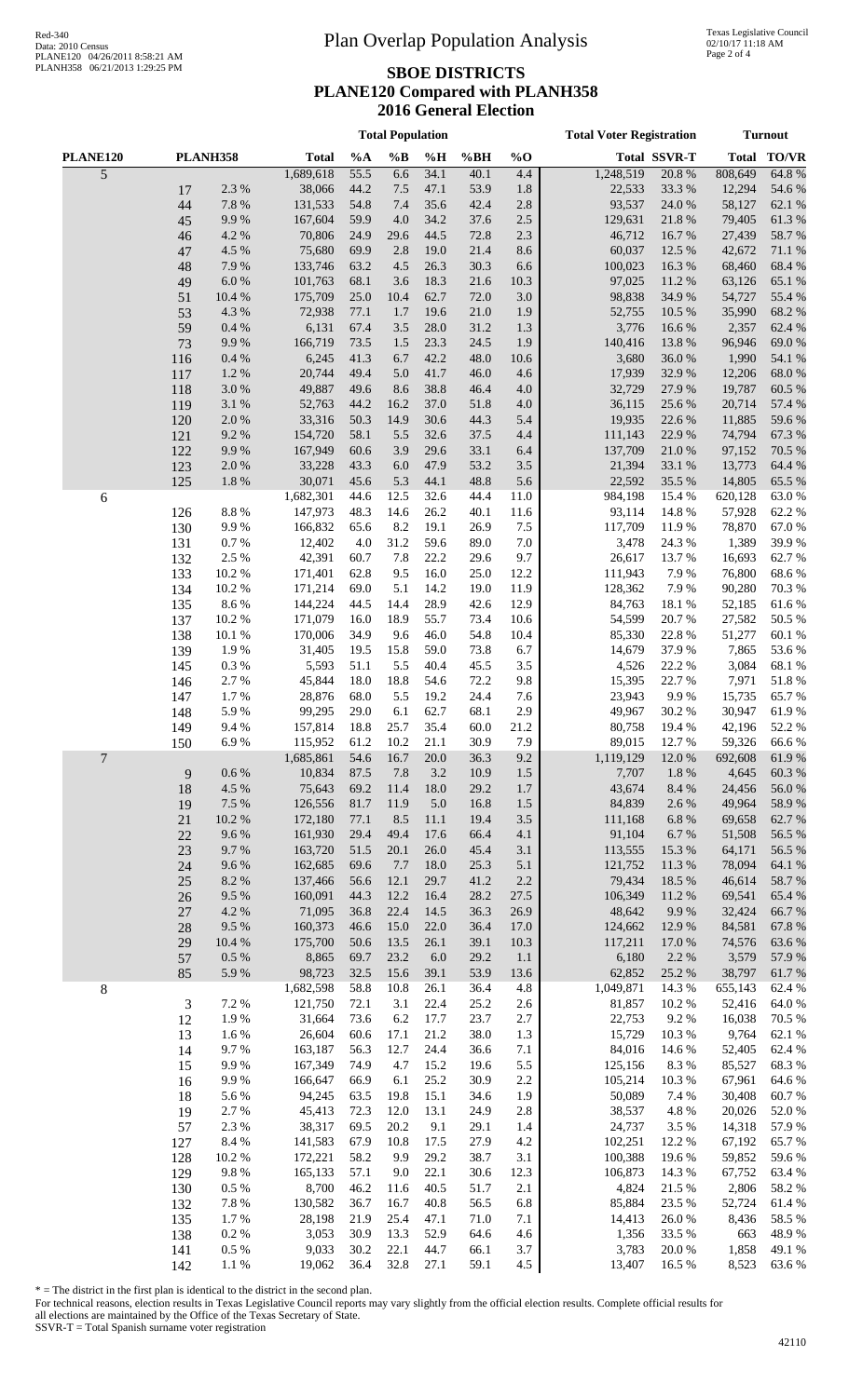#### **SBOE DISTRICTS PLANE120 Compared with PLANH358 2016 General Election**

**Total Population Total Voter Registration Turnout**

| PLANE120       |        | PLANH358  | <b>Total</b> | %A   | $\%B$ | %H   | %BH  | $%$ <sup>0</sup> |           | <b>Total SSVR-T</b> | <b>Total</b> | <b>TO/VR</b> |
|----------------|--------|-----------|--------------|------|-------|------|------|------------------|-----------|---------------------|--------------|--------------|
| $\overline{5}$ |        |           | 1,689,618    | 55.5 | 6.6   | 34.1 | 40.1 | 4.4              | 1,248,519 | 20.8%               | 808,649      | 64.8%        |
|                | 17     | 2.3 %     | 38,066       | 44.2 | 7.5   | 47.1 | 53.9 | 1.8              | 22,533    | 33.3 %              | 12,294       | 54.6 %       |
|                | 44     | 7.8 %     | 131,533      | 54.8 | 7.4   | 35.6 | 42.4 | 2.8              | 93,537    | 24.0 %              | 58,127       | 62.1 %       |
|                | 45     | 9.9%      | 167,604      | 59.9 | 4.0   | 34.2 | 37.6 | $2.5\,$          | 129,631   | 21.8 %              | 79,405       | 61.3%        |
|                | 46     | 4.2 %     | 70,806       | 24.9 | 29.6  | 44.5 | 72.8 | 2.3              | 46,712    | 16.7%               | 27,439       | 58.7%        |
|                | 47     | 4.5 %     | 75,680       | 69.9 | 2.8   | 19.0 | 21.4 | 8.6              | 60,037    | 12.5 %              | 42,672       | 71.1 %       |
|                | 48     | 7.9%      | 133,746      | 63.2 | 4.5   | 26.3 | 30.3 | 6.6              | 100,023   | 16.3%               | 68,460       | 68.4%        |
|                | 49     | $6.0\ \%$ | 101,763      | 68.1 | 3.6   | 18.3 | 21.6 | 10.3             | 97,025    | 11.2%               | 63,126       | 65.1 %       |
|                | 51     | 10.4 %    | 175,709      | 25.0 | 10.4  | 62.7 | 72.0 | 3.0              | 98,838    | 34.9%               | 54,727       | 55.4 %       |
|                | 53     | 4.3 %     | 72,938       | 77.1 | 1.7   | 19.6 | 21.0 | 1.9              | 52,755    | 10.5 %              | 35,990       | 68.2%        |
|                |        | $0.4~\%$  | 6,131        | 67.4 | 3.5   | 28.0 | 31.2 |                  | 3,776     | 16.6%               | 2,357        | 62.4 %       |
|                | 59     |           | 166,719      |      |       |      |      | 1.3              |           |                     | 96,946       |              |
|                | 73     | 9.9%      |              | 73.5 | 1.5   | 23.3 | 24.5 | 1.9              | 140,416   | 13.8%               |              | 69.0%        |
|                | 116    | $0.4~\%$  | 6,245        | 41.3 | 6.7   | 42.2 | 48.0 | 10.6             | 3,680     | $36.0\;\%$          | 1,990        | 54.1 %       |
|                | 117    | 1.2%      | 20,744       | 49.4 | 5.0   | 41.7 | 46.0 | 4.6              | 17,939    | 32.9%               | 12,206       | 68.0%        |
|                | 118    | $3.0\ \%$ | 49,887       | 49.6 | 8.6   | 38.8 | 46.4 | 4.0              | 32,729    | 27.9%               | 19,787       | 60.5 %       |
|                | 119    | $3.1~\%$  | 52,763       | 44.2 | 16.2  | 37.0 | 51.8 | 4.0              | 36,115    | 25.6 %              | 20,714       | 57.4 %       |
|                | 120    | $2.0\ \%$ | 33,316       | 50.3 | 14.9  | 30.6 | 44.3 | 5.4              | 19,935    | 22.6 %              | 11,885       | 59.6%        |
|                | 121    | 9.2%      | 154,720      | 58.1 | 5.5   | 32.6 | 37.5 | 4.4              | 111,143   | 22.9 %              | 74,794       | 67.3 %       |
|                | 122    | 9.9%      | 167,949      | 60.6 | 3.9   | 29.6 | 33.1 | 6.4              | 137,709   | 21.0%               | 97,152       | 70.5 %       |
|                | 123    | $2.0\ \%$ | 33,228       | 43.3 | 6.0   | 47.9 | 53.2 | $3.5$            | 21,394    | 33.1 %              | 13,773       | 64.4 %       |
|                | 125    | 1.8 %     | 30,071       | 45.6 | 5.3   | 44.1 | 48.8 | 5.6              | 22,592    | 35.5 %              | 14,805       | 65.5 %       |
| 6              |        |           | 1,682,301    | 44.6 | 12.5  | 32.6 | 44.4 | 11.0             | 984,198   | 15.4 %              | 620,128      | 63.0%        |
|                | 126    | $8.8\ \%$ | 147,973      | 48.3 | 14.6  | 26.2 | 40.1 | 11.6             | 93,114    | 14.8%               | 57,928       | 62.2%        |
|                | 130    | 9.9%      | 166,832      | 65.6 | 8.2   | 19.1 | 26.9 | 7.5              | 117,709   | 11.9%               | 78,870       | 67.0%        |
|                | 131    | $0.7~\%$  | 12,402       | 4.0  | 31.2  | 59.6 | 89.0 | 7.0              | 3,478     | 24.3 %              | 1,389        | 39.9%        |
|                | 132    | 2.5 %     | 42,391       | 60.7 | 7.8   | 22.2 | 29.6 | 9.7              | 26,617    | 13.7 %              | 16,693       | 62.7%        |
|                | 133    | 10.2%     | 171,401      | 62.8 | 9.5   | 16.0 | 25.0 | 12.2             | 111,943   | 7.9%                | 76,800       | 68.6%        |
|                | 134    | 10.2%     | 171,214      | 69.0 | 5.1   | 14.2 | 19.0 | 11.9             | 128,362   | 7.9%                | 90,280       | 70.3%        |
|                | 135    | 8.6%      | 144,224      | 44.5 | 14.4  | 28.9 | 42.6 | 12.9             | 84,763    | 18.1 %              | 52,185       | 61.6%        |
|                | 137    | 10.2%     | 171,079      | 16.0 | 18.9  | 55.7 | 73.4 | 10.6             | 54,599    | 20.7%               | 27,582       | 50.5 %       |
|                |        |           |              |      |       |      |      |                  |           | 22.8 %              | 51,277       |              |
|                | 138    | 10.1 %    | 170,006      | 34.9 | 9.6   | 46.0 | 54.8 | 10.4             | 85,330    |                     |              | 60.1%        |
|                | 139    | 1.9%      | 31,405       | 19.5 | 15.8  | 59.0 | 73.8 | 6.7              | 14,679    | 37.9%               | 7,865        | 53.6%        |
|                | 145    | $0.3~\%$  | 5,593        | 51.1 | 5.5   | 40.4 | 45.5 | 3.5              | 4,526     | 22.2 %              | 3,084        | 68.1 %       |
|                | 146    | 2.7%      | 45,844       | 18.0 | 18.8  | 54.6 | 72.2 | 9.8              | 15,395    | 22.7 %              | 7,971        | 51.8%        |
|                | 147    | 1.7%      | 28,876       | 68.0 | 5.5   | 19.2 | 24.4 | 7.6              | 23,943    | 9.9%                | 15,735       | 65.7%        |
|                | 148    | 5.9%      | 99,295       | 29.0 | 6.1   | 62.7 | 68.1 | 2.9              | 49,967    | 30.2%               | 30,947       | 61.9%        |
|                | 149    | 9.4%      | 157,814      | 18.8 | 25.7  | 35.4 | 60.0 | 21.2             | 80,758    | 19.4 %              | 42,196       | 52.2 %       |
|                | 150    | 6.9%      | 115,952      | 61.2 | 10.2  | 21.1 | 30.9 | 7.9              | 89,015    | 12.7%               | 59,326       | 66.6%        |
| 7              |        |           | 1,685,861    | 54.6 | 16.7  | 20.0 | 36.3 | 9.2              | 1,119,129 | 12.0 %              | 692,608      | 61.9%        |
|                | 9      | 0.6 %     | 10,834       | 87.5 | 7.8   | 3.2  | 10.9 | 1.5              | 7,707     | 1.8%                | 4,645        | 60.3%        |
|                | 18     | 4.5 %     | 75,643       | 69.2 | 11.4  | 18.0 | 29.2 | 1.7              | 43,674    | $8.4\ \%$           | 24,456       | 56.0%        |
|                | 19     | 7.5 %     | 126,556      | 81.7 | 11.9  | 5.0  | 16.8 | 1.5              | 84,839    | 2.6 %               | 49,964       | 58.9%        |
|                | 21     | $10.2~\%$ | 172,180      | 77.1 | 8.5   | 11.1 | 19.4 | $3.5$            | 111,168   | 6.8%                | 69,658       | 62.7 %       |
|                | 22     | $9.6\,\%$ | 161,930      | 29.4 | 49.4  | 17.6 | 66.4 | 4.1              | 91,104    | 6.7%                | 51,508       | 56.5 %       |
|                | 23     | 9.7%      | 163,720      | 51.5 | 20.1  | 26.0 | 45.4 | 3.1              | 113,555   | 15.3 %              | 64,171       | 56.5 %       |
|                | 24     | 9.6%      | 162,685      | 69.6 | 7.7   | 18.0 | 25.3 | 5.1              | 121,752   | 11.3%               | 78,094       | 64.1 %       |
|                | 25     | 8.2 %     | 137,466      | 56.6 | 12.1  | 29.7 | 41.2 | $2.2\,$          | 79,434    | 18.5 %              | 46,614       | 58.7%        |
|                | 26     | 9.5 %     | 160,091      | 44.3 | 12.2  | 16.4 | 28.2 | 27.5             | 106,349   | 11.2%               | 69,541       | 65.4%        |
|                | $27\,$ | 4.2 %     | 71,095       | 36.8 | 22.4  | 14.5 | 36.3 | 26.9             | 48,642    | 9.9%                | 32,424       | 66.7%        |
|                | 28     | 9.5%      | 160,373      | 46.6 | 15.0  | 22.0 | 36.4 | 17.0             | 124,662   | 12.9 %              | 84,581       | 67.8%        |
|                | 29     | 10.4 %    | 175,700      | 50.6 | 13.5  | 26.1 | 39.1 | 10.3             | 117,211   | 17.0%               | 74,576       | 63.6%        |
|                | 57     | $0.5\ \%$ | 8,865        | 69.7 | 23.2  | 6.0  | 29.2 | 1.1              | 6,180     | 2.2 %               | 3,579        | 57.9%        |
|                | 85     | 5.9%      | 98,723       | 32.5 | 15.6  | 39.1 | 53.9 | 13.6             | 62,852    | 25.2 %              | 38,797       | 61.7%        |
| $\,8$          |        |           | 1,682,598    | 58.8 | 10.8  | 26.1 | 36.4 | 4.8              | 1,049,871 | 14.3 %              | 655,143      | 62.4 %       |
|                | 3      | 7.2 %     | 121,750      | 72.1 | 3.1   | 22.4 | 25.2 | 2.6              | 81,857    | 10.2%               | 52,416       | 64.0%        |
|                |        |           |              | 73.6 |       |      |      |                  |           | 9.2%                | 16,038       |              |
|                | 12     | 1.9%      | 31,664       |      | 6.2   | 17.7 | 23.7 | 2.7              | 22,753    |                     |              | 70.5 %       |
|                | 13     | 1.6 %     | 26,604       | 60.6 | 17.1  | 21.2 | 38.0 | 1.3              | 15,729    | 10.3%               | 9,764        | 62.1 %       |
|                | 14     | 9.7%      | 163,187      | 56.3 | 12.7  | 24.4 | 36.6 | 7.1              | 84,016    | 14.6 %              | 52,405       | 62.4 %       |
|                | 15     | 9.9%      | 167,349      | 74.9 | 4.7   | 15.2 | 19.6 | 5.5              | 125,156   | 8.3%                | 85,527       | 68.3%        |
|                | 16     | 9.9%      | 166,647      | 66.9 | 6.1   | 25.2 | 30.9 | 2.2              | 105,214   | 10.3%               | 67,961       | 64.6 %       |
|                | 18     | 5.6%      | 94,245       | 63.5 | 19.8  | 15.1 | 34.6 | 1.9              | 50,089    | 7.4 %               | 30,408       | 60.7%        |
|                | 19     | 2.7%      | 45,413       | 72.3 | 12.0  | 13.1 | 24.9 | 2.8              | 38,537    | 4.8%                | 20,026       | 52.0%        |
|                | 57     | 2.3 %     | 38,317       | 69.5 | 20.2  | 9.1  | 29.1 | 1.4              | 24,737    | 3.5 %               | 14,318       | 57.9%        |
|                | 127    | 8.4 %     | 141,583      | 67.9 | 10.8  | 17.5 | 27.9 | $4.2\,$          | 102,251   | 12.2 %              | 67,192       | 65.7%        |
|                | 128    | 10.2%     | 172,221      | 58.2 | 9.9   | 29.2 | 38.7 | 3.1              | 100,388   | 19.6%               | 59,852       | 59.6%        |
|                | 129    | 9.8 %     | 165,133      | 57.1 | 9.0   | 22.1 | 30.6 | 12.3             | 106,873   | 14.3 %              | 67,752       | 63.4 %       |
|                | 130    | $0.5\ \%$ | 8,700        | 46.2 | 11.6  | 40.5 | 51.7 | 2.1              | 4,824     | 21.5 %              | 2,806        | 58.2%        |
|                | 132    | 7.8 %     | 130,582      | 36.7 | 16.7  | 40.8 | 56.5 | 6.8              | 85,884    | 23.5 %              | 52,724       | 61.4%        |
|                | 135    | 1.7%      | 28,198       | 21.9 | 25.4  | 47.1 | 71.0 | 7.1              | 14,413    | 26.0%               | 8,436        | 58.5 %       |
|                | 138    | $0.2~\%$  | 3,053        | 30.9 | 13.3  | 52.9 | 64.6 | 4.6              | 1,356     | 33.5 %              | 663          | 48.9%        |
|                | 141    | $0.5~\%$  | 9,033        | 30.2 | 22.1  | 44.7 | 66.1 | 3.7              | 3,783     | 20.0%               | 1,858        | 49.1 %       |
|                | 142    | 1.1 %     | 19,062       | 36.4 | 32.8  | 27.1 | 59.1 | 4.5              | 13,407    | 16.5 %              | 8,523        | 63.6%        |
|                |        |           |              |      |       |      |      |                  |           |                     |              |              |

\* = The district in the first plan is identical to the district in the second plan.

For technical reasons, election results in Texas Legislative Council reports may vary slightly from the official election results. Complete official results for all elections are maintained by the Office of the Texas Secretary of State.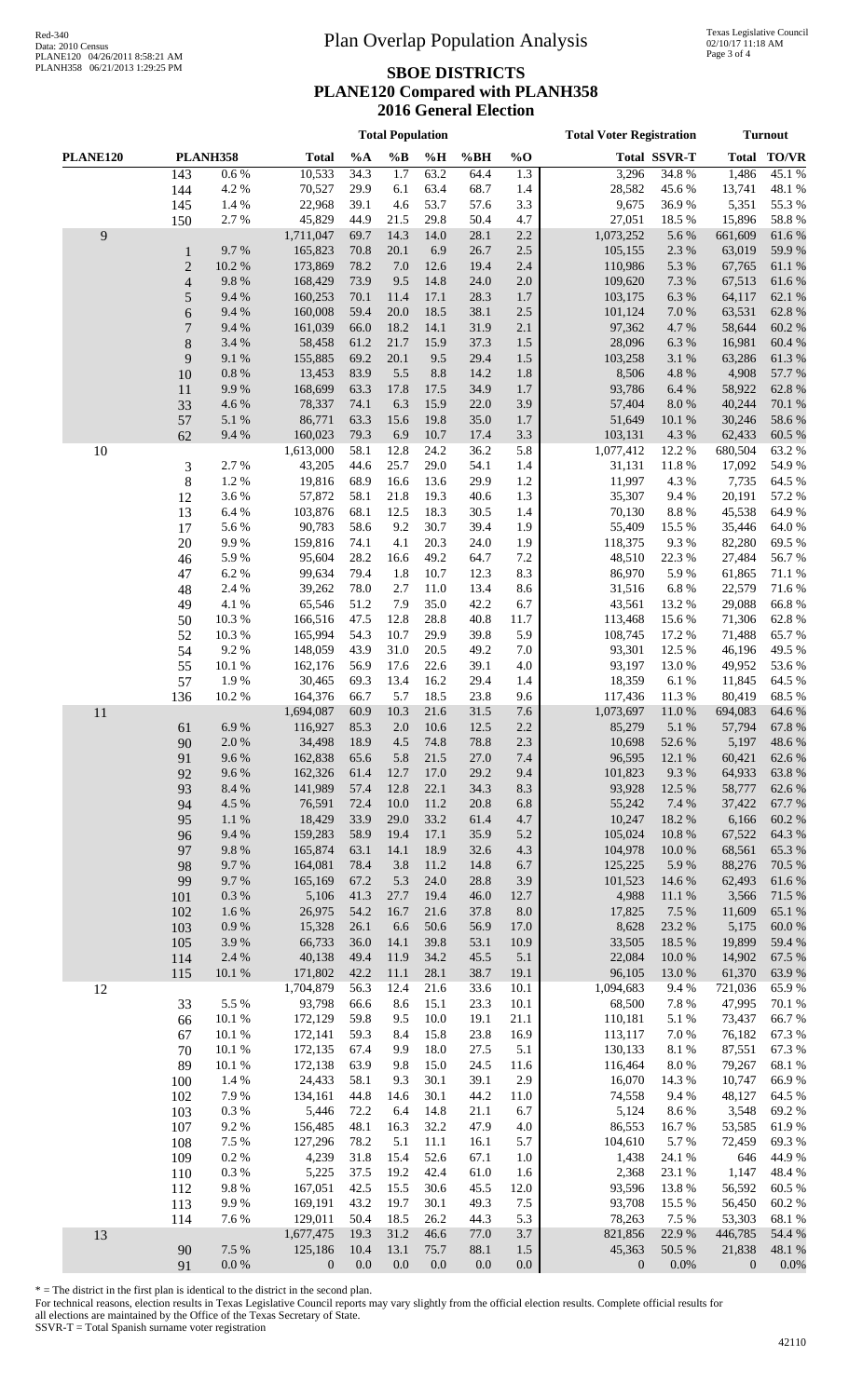#### **SBOE DISTRICTS PLANE120 Compared with PLANH358 2016 General Election**

**Total Population Total Voter Registration Turnout**

|          |                |                  |                    |              | <b>TOMIT OP</b>  | ,,,,,,,,,    |              |                  | Tom Tom Registration |                       |                  |                 |
|----------|----------------|------------------|--------------------|--------------|------------------|--------------|--------------|------------------|----------------------|-----------------------|------------------|-----------------|
| PLANE120 |                | <b>PLANH358</b>  | <b>Total</b>       | $\%A$        | $\%B$            | %H           | %BH          | $%$ O            |                      | <b>Total SSVR-T</b>   |                  | Total TO/VR     |
|          | 143            | 0.6 %            | 10,533             | 34.3         | $\overline{1.7}$ | 63.2         | 64.4         | $\overline{1.3}$ | 3,296                | 34.8%                 | 1,486            | 45.1%           |
|          | 144            | 4.2 %            | 70,527             | 29.9         | 6.1              | 63.4         | 68.7         | 1.4              | 28,582               | 45.6%                 | 13,741           | 48.1 %          |
|          | 145            | 1.4 %            | 22,968             | 39.1         | 4.6              | 53.7         | 57.6         | 3.3              | 9,675                | 36.9%                 | 5,351            | 55.3 %          |
|          | 150            | 2.7 %            | 45,829             | 44.9         | 21.5             | 29.8         | 50.4         | 4.7              | 27,051               | 18.5 %                | 15,896           | 58.8%           |
| 9        |                |                  | 1,711,047          | 69.7         | 14.3             | 14.0         | 28.1         | 2.2              | 1,073,252            | 5.6%                  | 661,609          | 61.6%           |
|          | $\mathbf{1}$   | 9.7%             | 165,823            | 70.8         | 20.1             | 6.9          | 26.7         | $2.5\,$          | 105,155              | 2.3 %                 | 63,019           | 59.9%           |
|          | $\mathbf{2}$   | 10.2%            | 173,869            | 78.2         | 7.0              | 12.6         | 19.4         | 2.4              | 110,986              | 5.3 %                 | 67,765           | 61.1%           |
|          | $\overline{4}$ | 9.8%             | 168,429            | 73.9         | 9.5              | 14.8         | 24.0         | $2.0\,$          | 109,620              | 7.3 %                 | 67,513           | 61.6%           |
|          | 5              | 9.4%             | 160,253            | 70.1         | 11.4             | 17.1         | 28.3         | 1.7              | 103,175              | 6.3 %                 | 64,117           | 62.1 %          |
|          | 6              | 9.4%             | 160,008            | 59.4         | 20.0             | 18.5         | 38.1         | $2.5\,$          | 101,124              | $7.0\ \%$             | 63,531           | 62.8%           |
|          | 7              | 9.4%             | 161,039            | 66.0         | 18.2             | 14.1         | 31.9         | 2.1              | 97,362               | 4.7%                  | 58,644           | 60.2%           |
|          | $\,8\,$        | 3.4 %            | 58,458             | 61.2         | 21.7             | 15.9         | 37.3         | $1.5$            | 28,096               | 6.3 %                 | 16,981           | 60.4 %          |
|          | 9              | 9.1 %            | 155,885            | 69.2         | 20.1             | 9.5          | 29.4         | $1.5$            | 103,258              | 3.1 %                 | 63,286           | 61.3%           |
|          | 10             | $0.8~\%$         | 13,453             | 83.9         | 5.5<br>17.8      | 8.8          | 14.2<br>34.9 | $1.8\,$          | 8,506                | $4.8~\%$              | 4,908            | 57.7 %          |
|          | 11<br>33       | 9.9%<br>4.6 %    | 168,699<br>78,337  | 63.3<br>74.1 | 6.3              | 17.5<br>15.9 | 22.0         | 1.7<br>3.9       | 93,786<br>57,404     | $6.4~\%$<br>$8.0\ \%$ | 58,922<br>40,244 | 62.8%<br>70.1 % |
|          | 57             | 5.1 %            | 86,771             | 63.3         | 15.6             | 19.8         | 35.0         | 1.7              | 51,649               | 10.1%                 | 30,246           | 58.6%           |
|          | 62             | 9.4%             | 160,023            | 79.3         | 6.9              | 10.7         | 17.4         | 3.3              | 103,131              | 4.3 %                 | 62,433           | 60.5%           |
| $10\,$   |                |                  | 1,613,000          | 58.1         | 12.8             | 24.2         | 36.2         | 5.8              | 1,077,412            | 12.2 %                | 680,504          | 63.2%           |
|          | 3              | 2.7%             | 43,205             | 44.6         | 25.7             | 29.0         | 54.1         | 1.4              | 31,131               | 11.8%                 | 17,092           | 54.9%           |
|          | $\,8$          | 1.2 %            | 19,816             | 68.9         | 16.6             | 13.6         | 29.9         | 1.2              | 11,997               | 4.3 %                 | 7,735            | 64.5 %          |
|          | 12             | 3.6 %            | 57,872             | 58.1         | 21.8             | 19.3         | 40.6         | 1.3              | 35,307               | 9.4%                  | 20,191           | 57.2 %          |
|          | 13             | 6.4 %            | 103,876            | 68.1         | 12.5             | 18.3         | 30.5         | 1.4              | 70,130               | 8.8 %                 | 45,538           | 64.9%           |
|          | 17             | 5.6%             | 90,783             | 58.6         | 9.2              | 30.7         | 39.4         | 1.9              | 55,409               | 15.5 %                | 35,446           | 64.0%           |
|          | 20             | 9.9%             | 159,816            | 74.1         | 4.1              | 20.3         | 24.0         | 1.9              | 118,375              | 9.3%                  | 82,280           | 69.5%           |
|          | 46             | 5.9%             | 95,604             | 28.2         | 16.6             | 49.2         | 64.7         | 7.2              | 48,510               | 22.3 %                | 27,484           | 56.7%           |
|          | 47             | 6.2%             | 99,634             | 79.4         | 1.8              | 10.7         | 12.3         | 8.3              | 86,970               | 5.9%                  | 61,865           | 71.1 %          |
|          | 48             | 2.4 %            | 39,262             | 78.0         | 2.7              | 11.0         | 13.4         | 8.6              | 31,516               | $6.8~\%$              | 22,579           | 71.6%           |
|          | 49             | 4.1 %            | 65,546             | 51.2         | 7.9              | 35.0         | 42.2         | 6.7              | 43,561               | 13.2 %                | 29,088           | 66.8%           |
|          | 50             | 10.3%            | 166,516            | 47.5         | 12.8             | 28.8         | 40.8         | 11.7             | 113,468              | 15.6 %                | 71,306           | 62.8%           |
|          | 52             | 10.3%            | 165,994            | 54.3         | 10.7             | 29.9         | 39.8         | 5.9              | 108,745              | 17.2 %                | 71,488           | 65.7%           |
|          | 54             | 9.2%             | 148,059            | 43.9         | 31.0             | 20.5         | 49.2         | 7.0              | 93,301               | 12.5 %                | 46,196           | 49.5 %          |
|          | 55             | 10.1%            | 162,176            | 56.9         | 17.6             | 22.6         | 39.1         | 4.0              | 93,197               | 13.0 %                | 49,952           | 53.6%           |
|          | 57             | 1.9%             | 30,465             | 69.3         | 13.4             | 16.2         | 29.4         | 1.4              | 18,359               | 6.1%                  | 11,845           | 64.5 %          |
|          | 136            | 10.2%            | 164,376            | 66.7         | 5.7              | 18.5         | 23.8         | 9.6              | 117,436              | 11.3%                 | 80,419           | 68.5%           |
| 11       |                |                  | 1,694,087          | 60.9         | 10.3             | 21.6         | 31.5         | $7.6\,$          | 1,073,697            | 11.0%                 | 694,083          | 64.6 %          |
|          | 61             | 6.9%             | 116,927            | 85.3         | 2.0              | 10.6         | 12.5         | 2.2              | 85,279               | $5.1~\%$              | 57,794           | 67.8%           |
|          | 90             | 2.0%             | 34,498             | 18.9         | 4.5              | 74.8         | 78.8         | 2.3              | 10,698               | 52.6%                 | 5,197            | 48.6%           |
|          | 91             | 9.6%             | 162,838            | 65.6         | 5.8              | 21.5         | 27.0         | $7.4\,$          | 96,595               | 12.1 %                | 60,421           | 62.6 %          |
|          | 92             | 9.6%             | 162,326            | 61.4         | 12.7             | 17.0         | 29.2         | 9.4              | 101,823              | 9.3%                  | 64,933           | 63.8%           |
|          | 93             | 8.4 %            | 141,989            | 57.4         | 12.8             | 22.1         | 34.3         | 8.3              | 93,928               | 12.5 %                | 58,777           | 62.6%           |
|          | 94             | 4.5 %            | 76,591             | 72.4         | 10.0             | 11.2         | 20.8         | 6.8              | 55,242               | 7.4 %                 | 37,422           | 67.7%           |
|          | 95             | $1.1\ \%$        | 18,429             | 33.9         | 29.0             | 33.2         | 61.4         | 4.7              | 10,247               | 18.2 %                | 6,166            | 60.2%           |
|          | 96             | 9.4%             | 159,283            | 58.9         | 19.4             | 17.1         | 35.9         | 5.2              | 105,024              | 10.8%                 | 67,522           | 64.3 %          |
|          | 97             | $9.8\ \%$        | 165,874<br>164,081 | 63.1         | 14.1<br>3.8      | 18.9         | 32.6         | $4.3$            | 104,978<br>125,225   | 10.0%                 | 68,561<br>88,276 | 65.3%           |
|          | 98             | 9.7%             | 165,169            | 78.4<br>67.2 | 5.3              | 11.2         | 14.8         | 6.7              | 101,523              | 5.9%                  | 62,493           | 70.5 %          |
|          | 99             | 9.7%<br>$0.3~\%$ | 5,106              | 41.3         | 27.7             | 24.0<br>19.4 | 28.8<br>46.0 | 3.9<br>12.7      | 4,988                | 14.6 %<br>11.1 %      | 3,566            | 61.6%<br>71.5 % |
|          | 101<br>102     | 1.6%             | 26,975             | 54.2         | 16.7             | 21.6         | 37.8         | $8.0\,$          | 17,825               | 7.5 %                 | 11,609           | 65.1 %          |
|          | 103            | $0.9\ \%$        | 15,328             | 26.1         | 6.6              | 50.6         | 56.9         | 17.0             | 8,628                | 23.2 %                | 5,175            | 60.0%           |
|          | 105            | 3.9%             | 66,733             | 36.0         | 14.1             | 39.8         | 53.1         | 10.9             | 33,505               | 18.5 %                | 19,899           | 59.4 %          |
|          | 114            | 2.4 %            | 40,138             | 49.4         | 11.9             | 34.2         | 45.5         | 5.1              | 22,084               | 10.0 %                | 14,902           | 67.5 %          |
|          | 115            | 10.1 %           | 171,802            | 42.2         | 11.1             | 28.1         | 38.7         | 19.1             | 96,105               | 13.0%                 | 61,370           | 63.9%           |
| 12       |                |                  | 1,704,879          | 56.3         | 12.4             | 21.6         | 33.6         | 10.1             | 1,094,683            | 9.4%                  | 721,036          | 65.9%           |
|          | 33             | 5.5 %            | 93,798             | 66.6         | 8.6              | 15.1         | 23.3         | 10.1             | 68,500               | 7.8%                  | 47,995           | 70.1 %          |
|          | 66             | 10.1%            | 172,129            | 59.8         | 9.5              | 10.0         | 19.1         | 21.1             | 110,181              | 5.1 %                 | 73,437           | 66.7%           |
|          | 67             | 10.1 %           | 172,141            | 59.3         | 8.4              | 15.8         | 23.8         | 16.9             | 113,117              | 7.0%                  | 76,182           | 67.3%           |
|          | 70             | 10.1 %           | 172,135            | 67.4         | 9.9              | 18.0         | 27.5         | 5.1              | 130,133              | $8.1~\%$              | 87,551           | 67.3 %          |
|          | 89             | 10.1 %           | 172,138            | 63.9         | 9.8              | 15.0         | 24.5         | 11.6             | 116,464              | $8.0~\%$              | 79,267           | 68.1 %          |
|          | 100            | 1.4 %            | 24,433             | 58.1         | 9.3              | 30.1         | 39.1         | 2.9              | 16,070               | 14.3 %                | 10,747           | 66.9%           |
|          | 102            | 7.9%             | 134,161            | 44.8         | 14.6             | 30.1         | 44.2         | 11.0             | 74,558               | 9.4%                  | 48,127           | 64.5 %          |
|          | 103            | $0.3\ \%$        | 5,446              | 72.2         | 6.4              | 14.8         | 21.1         | 6.7              | 5,124                | 8.6%                  | 3,548            | 69.2%           |
|          | 107            | 9.2%             | 156,485            | 48.1         | 16.3             | 32.2         | 47.9         | 4.0              | 86,553               | 16.7%                 | 53,585           | 61.9%           |
|          | 108            | 7.5 %            | 127,296            | 78.2         | 5.1              | 11.1         | 16.1         | 5.7              | 104,610              | 5.7%                  | 72,459           | 69.3%           |
|          | 109            | $0.2~\%$         | 4,239              | 31.8         | 15.4             | 52.6         | 67.1         | $1.0\,$          | 1,438                | 24.1 %                | 646              | 44.9%           |
|          | 110            | $0.3\ \%$        | 5,225              | 37.5         | 19.2             | 42.4         | 61.0         | 1.6              | 2,368                | 23.1 %                | 1,147            | 48.4 %          |
|          | 112            | $9.8\ \%$        | 167,051            | 42.5         | 15.5             | 30.6         | 45.5         | 12.0             | 93,596               | 13.8%                 | 56,592           | 60.5%           |
|          | 113            | 9.9%             | 169,191            | 43.2         | 19.7             | 30.1         | 49.3         | 7.5              | 93,708               | 15.5 %                | 56,450           | 60.2%           |
|          | 114            | 7.6 %            | 129,011            | 50.4         | 18.5             | 26.2         | 44.3         | 5.3              | 78,263               | 7.5 %                 | 53,303           | 68.1%           |
| 13       |                |                  | 1,677,475          | 19.3         | 31.2             | 46.6         | 77.0         | 3.7              | 821,856              | 22.9 %                | 446,785          | 54.4 %          |
|          | 90             | 7.5 %            | 125,186            | 10.4         | 13.1             | 75.7         | 88.1         | 1.5              | 45,363               | 50.5 %                | 21,838           | 48.1 %          |
|          | 91             | $0.0\ \%$        | $\mathbf{0}$       | $0.0\,$      | $0.0\,$          | 0.0          | $0.0\,$      | $0.0\,$          | $\overline{0}$       | $0.0\%$               | $\overline{0}$   | 0.0%            |

\* = The district in the first plan is identical to the district in the second plan.

For technical reasons, election results in Texas Legislative Council reports may vary slightly from the official election results. Complete official results for all elections are maintained by the Office of the Texas Secretary of State.